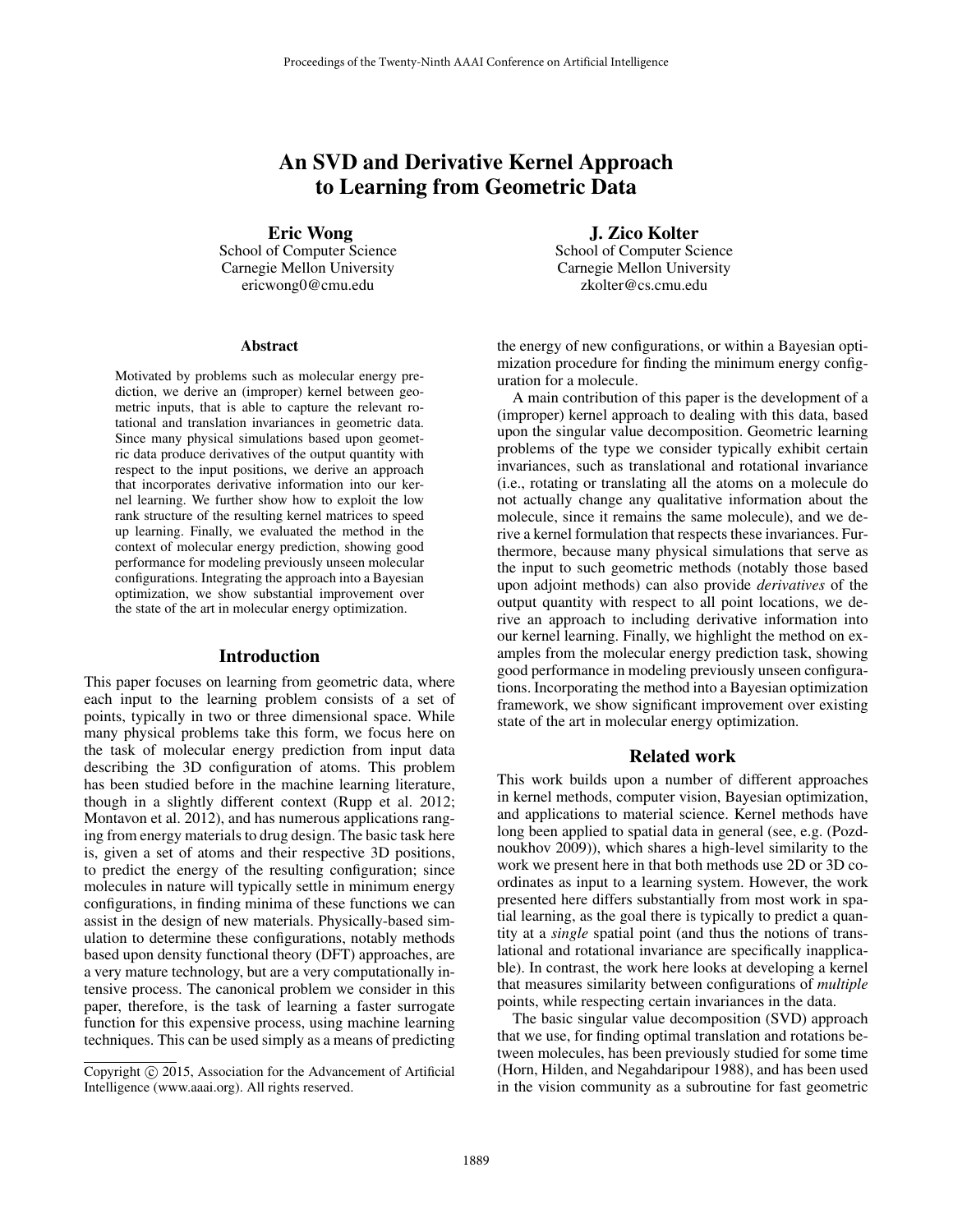# An SVD and Derivative Kernel Approach to Learning from Geometric Data

Eric Wong

School of Computer Science Carnegie Mellon University ericwong0@cmu.edu

#### Abstract

Motivated by problems such as molecular energy prediction, we derive an (improper) kernel between geometric inputs, that is able to capture the relevant rotational and translation invariances in geometric data. Since many physical simulations based upon geometric data produce derivatives of the output quantity with respect to the input positions, we derive an approach that incorporates derivative information into our kernel learning. We further show how to exploit the low rank structure of the resulting kernel matrices to speed up learning. Finally, we evaluated the method in the context of molecular energy prediction, showing good performance for modeling previously unseen molecular configurations. Integrating the approach into a Bayesian optimization, we show substantial improvement over the state of the art in molecular energy optimization.

#### Introduction

This paper focuses on learning from geometric data, where each input to the learning problem consists of a set of points, typically in two or three dimensional space. While many physical problems take this form, we focus here on the task of molecular energy prediction from input data describing the 3D configuration of atoms. This problem has been studied before in the machine learning literature, though in a slightly different context (Rupp et al. 2012; Montavon et al. 2012), and has numerous applications ranging from energy materials to drug design. The basic task here is, given a set of atoms and their respective 3D positions, to predict the energy of the resulting configuration; since molecules in nature will typically settle in minimum energy configurations, in finding minima of these functions we can assist in the design of new materials. Physically-based simulation to determine these configurations, notably methods based upon density functional theory (DFT) approaches, are a very mature technology, but are a very computationally intensive process. The canonical problem we consider in this paper, therefore, is the task of learning a faster surrogate function for this expensive process, using machine learning techniques. This can be used simply as a means of predicting

J. Zico Kolter School of Computer Science Carnegie Mellon University zkolter@cs.cmu.edu

the energy of new configurations, or within a Bayesian optimization procedure for finding the minimum energy configuration for a molecule.

A main contribution of this paper is the development of a (improper) kernel approach to dealing with this data, based upon the singular value decomposition. Geometric learning problems of the type we consider typically exhibit certain invariances, such as translational and rotational invariance (i.e., rotating or translating all the atoms on a molecule do not actually change any qualitative information about the molecule, since it remains the same molecule), and we derive a kernel formulation that respects these invariances. Furthermore, because many physical simulations that serve as the input to such geometric methods (notably those based upon adjoint methods) can also provide *derivatives* of the output quantity with respect to all point locations, we derive an approach to including derivative information into our kernel learning. Finally, we highlight the method on examples from the molecular energy prediction task, showing good performance in modeling previously unseen configurations. Incorporating the method into a Bayesian optimization framework, we show significant improvement over existing state of the art in molecular energy optimization.

## Related work

This work builds upon a number of different approaches in kernel methods, computer vision, Bayesian optimization, and applications to material science. Kernel methods have long been applied to spatial data in general (see, e.g. (Pozdnoukhov 2009)), which shares a high-level similarity to the work we present here in that both methods use 2D or 3D coordinates as input to a learning system. However, the work presented here differs substantially from most work in spatial learning, as the goal there is typically to predict a quantity at a *single* spatial point (and thus the notions of translational and rotational invariance are specifically inapplicable). In contrast, the work here looks at developing a kernel that measures similarity between configurations of *multiple* points, while respecting certain invariances in the data.

The basic singular value decomposition (SVD) approach that we use, for finding optimal translation and rotations between molecules, has been previously studied for some time (Horn, Hilden, and Negahdaripour 1988), and has been used in the vision community as a subroutine for fast geometric

Copyright © 2015, Association for the Advancement of Artificial Intelligence (www.aaai.org). All rights reserved.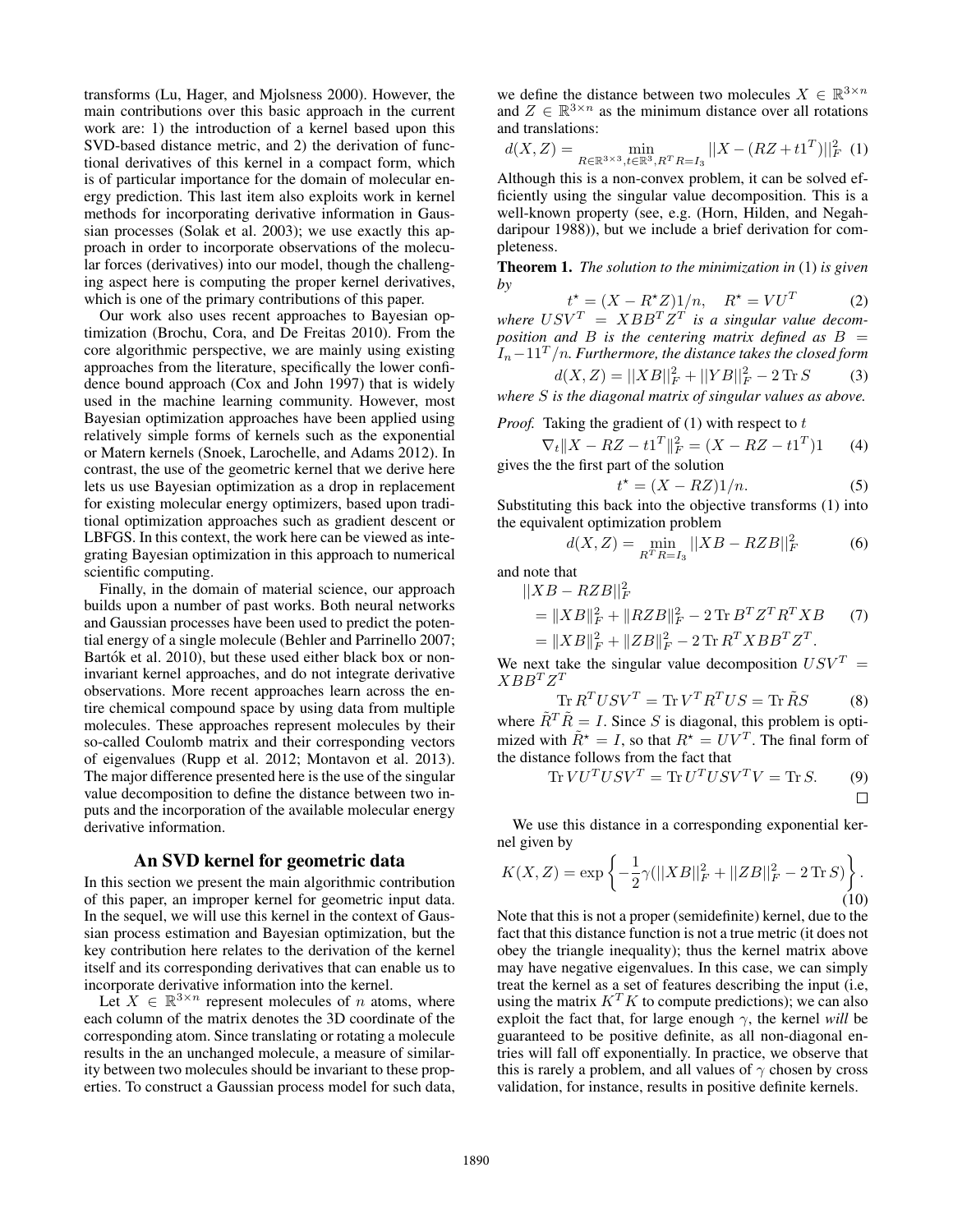transforms (Lu, Hager, and Mjolsness 2000). However, the main contributions over this basic approach in the current work are: 1) the introduction of a kernel based upon this SVD-based distance metric, and 2) the derivation of functional derivatives of this kernel in a compact form, which is of particular importance for the domain of molecular energy prediction. This last item also exploits work in kernel methods for incorporating derivative information in Gaussian processes (Solak et al. 2003); we use exactly this approach in order to incorporate observations of the molecular forces (derivatives) into our model, though the challenging aspect here is computing the proper kernel derivatives, which is one of the primary contributions of this paper.

Our work also uses recent approaches to Bayesian optimization (Brochu, Cora, and De Freitas 2010). From the core algorithmic perspective, we are mainly using existing approaches from the literature, specifically the lower confidence bound approach (Cox and John 1997) that is widely used in the machine learning community. However, most Bayesian optimization approaches have been applied using relatively simple forms of kernels such as the exponential or Matern kernels (Snoek, Larochelle, and Adams 2012). In contrast, the use of the geometric kernel that we derive here lets us use Bayesian optimization as a drop in replacement for existing molecular energy optimizers, based upon traditional optimization approaches such as gradient descent or LBFGS. In this context, the work here can be viewed as integrating Bayesian optimization in this approach to numerical scientific computing.

Finally, in the domain of material science, our approach builds upon a number of past works. Both neural networks and Gaussian processes have been used to predict the potential energy of a single molecule (Behler and Parrinello 2007; Bartók et al. 2010), but these used either black box or noninvariant kernel approaches, and do not integrate derivative observations. More recent approaches learn across the entire chemical compound space by using data from multiple molecules. These approaches represent molecules by their so-called Coulomb matrix and their corresponding vectors of eigenvalues (Rupp et al. 2012; Montavon et al. 2013). The major difference presented here is the use of the singular value decomposition to define the distance between two inputs and the incorporation of the available molecular energy derivative information.

## An SVD kernel for geometric data

In this section we present the main algorithmic contribution of this paper, an improper kernel for geometric input data. In the sequel, we will use this kernel in the context of Gaussian process estimation and Bayesian optimization, but the key contribution here relates to the derivation of the kernel itself and its corresponding derivatives that can enable us to incorporate derivative information into the kernel.

Let  $X \in \mathbb{R}^{3 \times n}$  represent molecules of *n* atoms, where each column of the matrix denotes the 3D coordinate of the corresponding atom. Since translating or rotating a molecule results in the an unchanged molecule, a measure of similarity between two molecules should be invariant to these properties. To construct a Gaussian process model for such data,

we define the distance between two molecules  $X \in \mathbb{R}^{3 \times n}$ and  $Z \in \mathbb{R}^{3 \times n}$  as the minimum distance over all rotations and translations:

$$
d(X, Z) = \min_{R \in \mathbb{R}^{3 \times 3}, t \in \mathbb{R}^3, R^T R = I_3} ||X - (RZ + t1^T)||_F^2
$$
 (1)

Although this is a non-convex problem, it can be solved efficiently using the singular value decomposition. This is a well-known property (see, e.g. (Horn, Hilden, and Negahdaripour 1988)), but we include a brief derivation for completeness.

Theorem 1. *The solution to the minimization in* (1) *is given by*

 $t^* = (X - R^*Z)1/n$ ,  $R^* = VU^T$ (2) where  $USV^T = XBB^T Z^T$  is a singular value decom*position and* B *is the centering matrix defined as* B =  $I_n-11<sup>T</sup>/n$ . Furthermore, the distance takes the closed form

$$
d(X, Z) = ||XB||_F^2 + ||YB||_F^2 - 2 \operatorname{Tr} S \tag{3}
$$

*where* S *is the diagonal matrix of singular values as above.*

*Proof.* Taking the gradient of 
$$
(1)
$$
 with respect to  $t$ 

$$
\nabla_t \|X - RZ - t1^T\|_F^2 = (X - RZ - t1^T)1
$$
 (4)  
gives the the first part of the solution

$$
t^* = (X - RZ)1/n.
$$
 (5)

Substituting this back into the objective transforms (1) into the equivalent optimization problem

$$
d(X, Z) = \min_{R^T R = I_3} ||XB - RZB||_F^2
$$
 (6)

and note that

$$
||XB - RZB||_F^2
$$
  
=  $||XB||_F^2 + ||RZB||_F^2 - 2 \text{Tr } B^T Z^T R^T X B$  (7)  
=  $||XB||_F^2 + ||ZB||_F^2 - 2 \text{Tr } R^T X B B^T Z^T$ .

We next take the singular value decomposition  $USV^T =$  $XBB^TZ^T$ 

$$
\text{Tr}\, R^T USV^T = \text{Tr}\, V^T R^T US = \text{Tr}\,\tilde{R}S \tag{8}
$$

where  $\tilde{R}^T \tilde{R} = I$ . Since S is diagonal, this problem is optimized with  $\tilde{R}^* = I$ , so that  $R^* = UV^T$ . The final form of the distance follows from the fact that

$$
\operatorname{Tr} VU^TUSV^T = \operatorname{Tr} U^TUSV^TV = \operatorname{Tr} S.
$$
 (9)

We use this distance in a corresponding exponential kernel given by

$$
K(X,Z) = \exp\left\{-\frac{1}{2}\gamma(||XB||_F^2 + ||ZB||_F^2 - 2\operatorname{Tr} S)\right\}.
$$
\n(10)

Note that this is not a proper (semidefinite) kernel, due to the fact that this distance function is not a true metric (it does not obey the triangle inequality); thus the kernel matrix above may have negative eigenvalues. In this case, we can simply treat the kernel as a set of features describing the input (i.e, using the matrix  $K^T K$  to compute predictions); we can also exploit the fact that, for large enough  $\gamma$ , the kernel *will* be guaranteed to be positive definite, as all non-diagonal entries will fall off exponentially. In practice, we observe that this is rarely a problem, and all values of  $\gamma$  chosen by cross validation, for instance, results in positive definite kernels.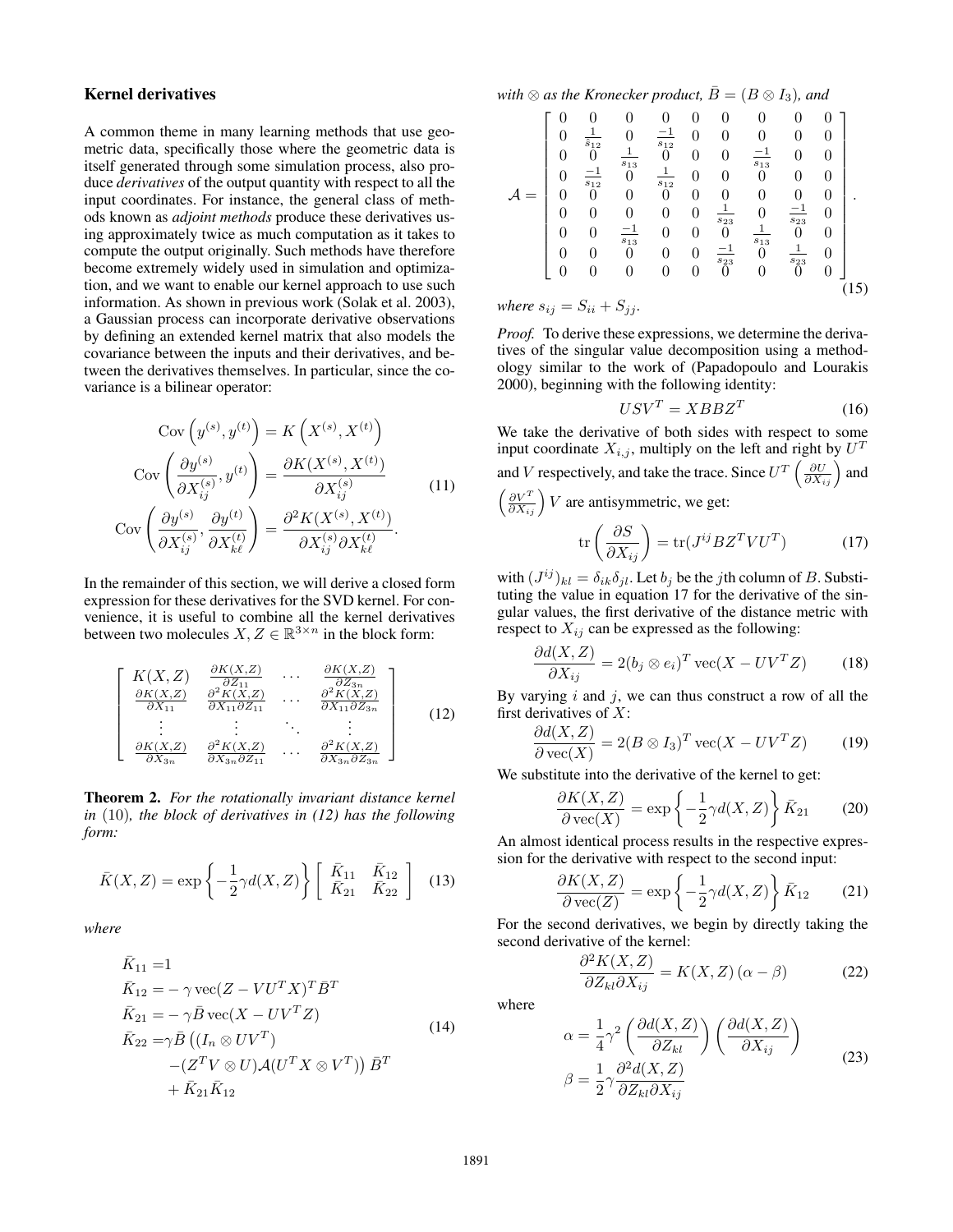# Kernel derivatives

A common theme in many learning methods that use geometric data, specifically those where the geometric data is itself generated through some simulation process, also produce *derivatives* of the output quantity with respect to all the input coordinates. For instance, the general class of methods known as *adjoint methods* produce these derivatives using approximately twice as much computation as it takes to compute the output originally. Such methods have therefore become extremely widely used in simulation and optimization, and we want to enable our kernel approach to use such information. As shown in previous work (Solak et al. 2003), a Gaussian process can incorporate derivative observations by defining an extended kernel matrix that also models the covariance between the inputs and their derivatives, and between the derivatives themselves. In particular, since the covariance is a bilinear operator:

$$
Cov\left(y^{(s)}, y^{(t)}\right) = K\left(X^{(s)}, X^{(t)}\right)
$$

$$
Cov\left(\frac{\partial y^{(s)}}{\partial X_{ij}^{(s)}}, y^{(t)}\right) = \frac{\partial K(X^{(s)}, X^{(t)})}{\partial X_{ij}^{(s)}}\n\qquad (11)
$$

$$
Cov\left(\frac{\partial y^{(s)}}{\partial X_{ij}^{(s)}}, \frac{\partial y^{(t)}}{\partial X_{kl}^{(t)}}\right) = \frac{\partial^2 K(X^{(s)}, X^{(t)})}{\partial X_{ij}^{(s)} \partial X_{kl}^{(t)}}.
$$

In the remainder of this section, we will derive a closed form expression for these derivatives for the SVD kernel. For convenience, it is useful to combine all the kernel derivatives between two molecules  $X, Z \in \mathbb{R}^{3 \times n}$  in the block form:

$$
\begin{bmatrix}\nK(X,Z) & \frac{\partial K(X,Z)}{\partial Z_{11}} & \cdots & \frac{\partial K(X,Z)}{\partial Z_{3n}} \\
\frac{\partial K(X,Z)}{\partial X_{11}} & \frac{\partial^2 K(X,Z)}{\partial X_{11}\partial Z_{11}} & \cdots & \frac{\partial^2 K(X,Z)}{\partial X_{11}\partial Z_{3n}} \\
\vdots & \vdots & \ddots & \vdots \\
\frac{\partial K(X,Z)}{\partial X_{3n}} & \frac{\partial^2 K(X,Z)}{\partial X_{3n}\partial Z_{11}} & \cdots & \frac{\partial^2 K(X,Z)}{\partial X_{3n}\partial Z_{3n}}\n\end{bmatrix}
$$
\n(12)

Theorem 2. *For the rotationally invariant distance kernel in* (10)*, the block of derivatives in (12) has the following form:*

$$
\bar{K}(X,Z) = \exp\left\{-\frac{1}{2}\gamma d(X,Z)\right\} \left[\begin{array}{cc} \bar{K}_{11} & \bar{K}_{12} \\ \bar{K}_{21} & \bar{K}_{22} \end{array}\right] \tag{13}
$$

*where*

÷.

$$
K_{11} = 1
$$
  
\n
$$
\bar{K}_{12} = -\gamma \text{vec}(Z - VU^{T}X)^{T}\bar{B}^{T}
$$
  
\n
$$
\bar{K}_{21} = -\gamma \bar{B} \text{vec}(X - UV^{T}Z)
$$
  
\n
$$
\bar{K}_{22} = \gamma \bar{B} ((I_{n} \otimes UV^{T})
$$
  
\n
$$
-(Z^{T}V \otimes U) \mathcal{A}(U^{T}X \otimes V^{T})) \bar{B}^{T}
$$
  
\n
$$
+ \bar{K}_{21}\bar{K}_{12}
$$
\n(14)

with 
$$
\otimes
$$
 as the Kronecker product,  $\overline{B} = (B \otimes I_3)$ , and

$$
\mathcal{A} = \begin{bmatrix} 0 & 0 & 0 & 0 & 0 & 0 & 0 & 0 & 0 \\ 0 & \frac{1}{\hat{s}_{12}} & 0 & \frac{-1}{s_{12}} & 0 & 0 & 0 & 0 & 0 \\ 0 & 0 & \frac{1}{\hat{s}_{13}} & 0 & 0 & 0 & \frac{-1}{\hat{s}_{13}} & 0 & 0 \\ 0 & \frac{-1}{s_{12}} & 0 & \frac{1}{s_{12}} & 0 & 0 & 0 & 0 & 0 \\ 0 & 0 & 0 & 0 & 0 & 0 & 0 & 0 & 0 \\ 0 & 0 & 0 & 0 & 0 & \frac{1}{\hat{s}_{23}} & 0 & \frac{-1}{s_{23}} & 0 \\ 0 & 0 & \frac{-1}{s_{13}} & 0 & 0 & 0 & \frac{1}{s_{13}} & 0 & 0 \\ 0 & 0 & 0 & 0 & 0 & 0 & \frac{1}{s_{23}} & 0 & \frac{1}{s_{23}} & 0 \\ 0 & 0 & 0 & 0 & 0 & 0 & 0 & 0 & 0 \end{bmatrix}.
$$

*where*  $s_{ij} = S_{ii} + S_{jj}$ *.* 

*Proof.* To derive these expressions, we determine the derivatives of the singular value decomposition using a methodology similar to the work of (Papadopoulo and Lourakis 2000), beginning with the following identity:

$$
USV^T = XBBZ^T \t\t(16)
$$

We take the derivative of both sides with respect to some input coordinate  $X_{i,j}$ , multiply on the left and right by  $U^T$  $\sqrt{ }$ 

and *V* respectively, and take the trace. Since 
$$
U^T \left( \frac{\partial U}{\partial X_{ij}} \right)
$$
 and   
 $\left( \frac{\partial V^T}{\partial X_{ij}} \right) V$  are antisymmetric, we get:

$$
\operatorname{tr}\left(\frac{\partial S}{\partial X_{ij}}\right) = \operatorname{tr}(J^{ij} B Z^T V U^T) \tag{17}
$$

with  $(J^{ij})_{kl} = \delta_{ik}\delta_{jl}$ . Let  $b_j$  be the jth column of B. Substituting the value in equation 17 for the derivative of the singular values, the first derivative of the distance metric with respect to  $X_{ij}$  can be expressed as the following:

$$
\frac{\partial d(X, Z)}{\partial X_{ij}} = 2(b_j \otimes e_i)^T \operatorname{vec}(X - UV^T Z) \tag{18}
$$

By varying  $i$  and  $j$ , we can thus construct a row of all the first derivatives of  $X$ :

$$
\frac{\partial d(X,Z)}{\partial \text{ vec}(X)} = 2(B \otimes I_3)^T \text{ vec}(X - UV^T Z) \tag{19}
$$

We substitute into the derivative of the kernel to get:

$$
\frac{\partial K(X,Z)}{\partial \text{ vec}(X)} = \exp\left\{-\frac{1}{2}\gamma d(X,Z)\right\} \bar{K}_{21} \qquad (20)
$$

An almost identical process results in the respective expression for the derivative with respect to the second input:

$$
\frac{\partial K(X,Z)}{\partial \text{vec}(Z)} = \exp\left\{-\frac{1}{2}\gamma d(X,Z)\right\} \bar{K}_{12} \qquad (21)
$$

For the second derivatives, we begin by directly taking the second derivative of the kernel:

$$
\frac{\partial^2 K(X, Z)}{\partial Z_{kl} \partial X_{ij}} = K(X, Z) \left( \alpha - \beta \right) \tag{22}
$$

where

$$
\alpha = \frac{1}{4} \gamma^2 \left( \frac{\partial d(X, Z)}{\partial Z_{kl}} \right) \left( \frac{\partial d(X, Z)}{\partial X_{ij}} \right)
$$
  

$$
\beta = \frac{1}{2} \gamma \frac{\partial^2 d(X, Z)}{\partial Z_{kl} \partial X_{ij}}
$$
(23)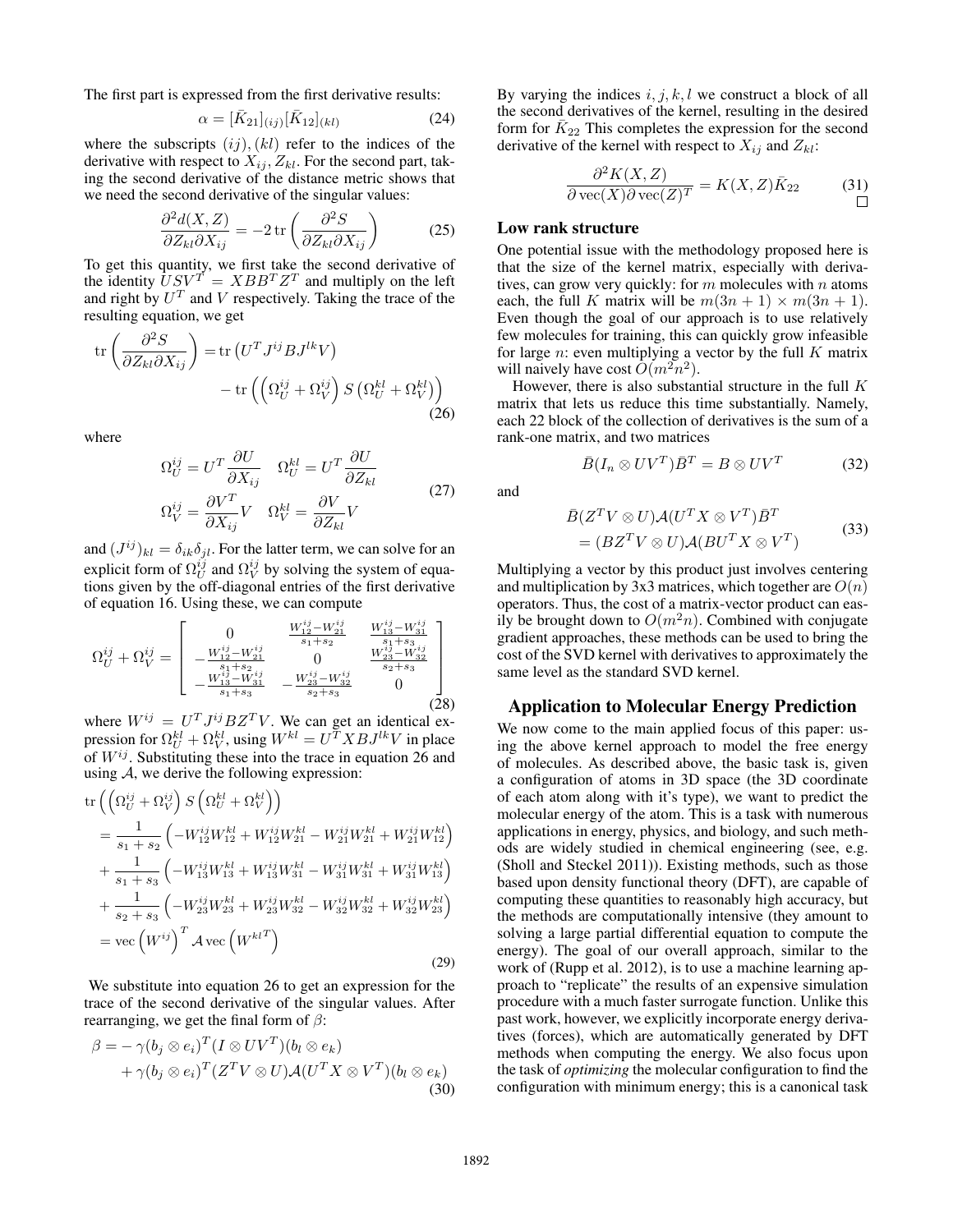The first part is expressed from the first derivative results:

$$
\alpha = [\bar{K}_{21}]_{(ij)} [\bar{K}_{12}]_{(kl)} \tag{24}
$$

where the subscripts  $(ij)$ ,  $(kl)$  refer to the indices of the derivative with respect to  $X_{ij}$ ,  $Z_{kl}$ . For the second part, taking the second derivative of the distance metric shows that we need the second derivative of the singular values:

$$
\frac{\partial^2 d(X, Z)}{\partial Z_{kl} \partial X_{ij}} = -2 \operatorname{tr} \left( \frac{\partial^2 S}{\partial Z_{kl} \partial X_{ij}} \right) \tag{25}
$$

To get this quantity, we first take the second derivative of the identity  $\overline{U}SV^T = XBB^TZ^T$  and multiply on the left and right by  $U^T$  and V respectively. Taking the trace of the resulting equation, we get

$$
\operatorname{tr}\left(\frac{\partial^2 S}{\partial Z_{kl}\partial X_{ij}}\right) = \operatorname{tr}\left(U^T J^{ij} B J^{lk} V\right) \n- \operatorname{tr}\left(\left(\Omega_U^{ij} + \Omega_V^{ij}\right) S \left(\Omega_U^{kl} + \Omega_V^{kl}\right)\right)
$$
\n(26)

where

$$
\Omega_U^{ij} = U^T \frac{\partial U}{\partial X_{ij}} \quad \Omega_U^{kl} = U^T \frac{\partial U}{\partial Z_{kl}}
$$
  

$$
\Omega_V^{ij} = \frac{\partial V^T}{\partial X_{ij}} V \quad \Omega_V^{kl} = \frac{\partial V}{\partial Z_{kl}} V
$$
 (27)

and  $(J^{ij})_{kl} = \delta_{ik}\delta_{jl}$ . For the latter term, we can solve for an explicit form of  $\Omega_U^{ij}$  and  $\Omega_V^{ij}$  by solving the system of equations given by the off-diagonal entries of the first derivative of equation 16. Using these, we can compute

$$
\Omega_{U}^{ij} + \Omega_{V}^{ij} = \begin{bmatrix} 0 & \frac{W_{12}^{ij} - W_{21}^{ij}}{s_1 + s_2} & \frac{W_{13}^{ij} - W_{31}^{ij}}{s_1 + s_2} \\ -\frac{W_{12}^{ij} - W_{21}^{ij}}{s_1 + s_2} & 0 & \frac{W_{23}^{ij} - W_{32}^{ij}}{s_2 + s_3} \\ -\frac{W_{13}^{ij} - W_{31}^{ij}}{s_1 + s_3} & -\frac{W_{23}^{ij} - W_{32}^{ij}}{s_2 + s_3} & 0 \end{bmatrix}
$$
(28)

where  $W^{ij} = U^T J^{ij} B Z^T V$ . We can get an identical expression for  $\Omega_U^{kl} + \Omega_V^{kl}$ , using  $W^{kl} = U^T X B J^{lk} V$  in place of  $W^{ij}$ . Substituting these into the trace in equation 26 and using  $A$ , we derive the following expression:

$$
\begin{split} \text{tr}\left(\left(\Omega_{U}^{ij} + \Omega_{V}^{ij}\right)S\left(\Omega_{U}^{kl} + \Omega_{V}^{kl}\right)\right) \\ &= \frac{1}{s_{1} + s_{2}}\left(-W_{12}^{ij}W_{12}^{kl} + W_{12}^{ij}W_{21}^{kl} - W_{21}^{ij}W_{21}^{kl} + W_{21}^{ij}W_{12}^{kl}\right) \\ &+ \frac{1}{s_{1} + s_{3}}\left(-W_{13}^{ij}W_{13}^{kl} + W_{13}^{ij}W_{31}^{kl} - W_{31}^{ij}W_{31}^{kl} + W_{31}^{ij}W_{13}^{kl}\right) \\ &+ \frac{1}{s_{2} + s_{3}}\left(-W_{23}^{ij}W_{23}^{kl} + W_{23}^{ij}W_{32}^{kl} - W_{32}^{ij}W_{32}^{kl} + W_{32}^{ij}W_{23}^{kl}\right) \\ &= \text{vec}\left(W^{ij}\right)^{T} \mathcal{A} \text{vec}\left(W^{kl}^{T}\right) \end{split} \tag{29}
$$

We substitute into equation 26 to get an expression for the trace of the second derivative of the singular values. After rearranging, we get the final form of  $\beta$ :

$$
\beta = -\gamma (b_j \otimes e_i)^T (I \otimes UV^T)(b_l \otimes e_k) + \gamma (b_j \otimes e_i)^T (Z^T V \otimes U) \mathcal{A}(U^T X \otimes V^T)(b_l \otimes e_k)
$$
(30)

By varying the indices  $i, j, k, l$  we construct a block of all the second derivatives of the kernel, resulting in the desired form for  $\bar{K}_{22}$  This completes the expression for the second derivative of the kernel with respect to  $X_{ij}$  and  $Z_{kl}$ :

$$
\frac{\partial^2 K(X,Z)}{\partial \text{ vec}(X)\partial \text{ vec}(Z)^T} = K(X,Z)\bar{K}_{22}
$$
 (31)

### Low rank structure

One potential issue with the methodology proposed here is that the size of the kernel matrix, especially with derivatives, can grow very quickly: for  $m$  molecules with  $n$  atoms each, the full K matrix will be  $m(3n + 1) \times m(3n + 1)$ . Even though the goal of our approach is to use relatively few molecules for training, this can quickly grow infeasible for large *n*: even multiplying a vector by the full  $K$  matrix will naively have cost  $\tilde{O}(m^2n^2)$ .

However, there is also substantial structure in the full  $K$ matrix that lets us reduce this time substantially. Namely, each 22 block of the collection of derivatives is the sum of a rank-one matrix, and two matrices

$$
\bar{B}(I_n \otimes UV^T)\bar{B}^T = B \otimes UV^T \tag{32}
$$

and

$$
\bar{B}(Z^T V \otimes U) \mathcal{A}(U^T X \otimes V^T) \bar{B}^T
$$
  
=  $(BZ^T V \otimes U) \mathcal{A}(BU^T X \otimes V^T)$  (33)

Multiplying a vector by this product just involves centering and multiplication by 3x3 matrices, which together are  $O(n)$ operators. Thus, the cost of a matrix-vector product can easily be brought down to  $O(m^2n)$ . Combined with conjugate gradient approaches, these methods can be used to bring the cost of the SVD kernel with derivatives to approximately the same level as the standard SVD kernel.

#### Application to Molecular Energy Prediction

We now come to the main applied focus of this paper: using the above kernel approach to model the free energy of molecules. As described above, the basic task is, given a configuration of atoms in 3D space (the 3D coordinate of each atom along with it's type), we want to predict the molecular energy of the atom. This is a task with numerous applications in energy, physics, and biology, and such methods are widely studied in chemical engineering (see, e.g. (Sholl and Steckel 2011)). Existing methods, such as those based upon density functional theory (DFT), are capable of computing these quantities to reasonably high accuracy, but the methods are computationally intensive (they amount to solving a large partial differential equation to compute the energy). The goal of our overall approach, similar to the work of (Rupp et al. 2012), is to use a machine learning approach to "replicate" the results of an expensive simulation procedure with a much faster surrogate function. Unlike this past work, however, we explicitly incorporate energy derivatives (forces), which are automatically generated by DFT methods when computing the energy. We also focus upon the task of *optimizing* the molecular configuration to find the configuration with minimum energy; this is a canonical task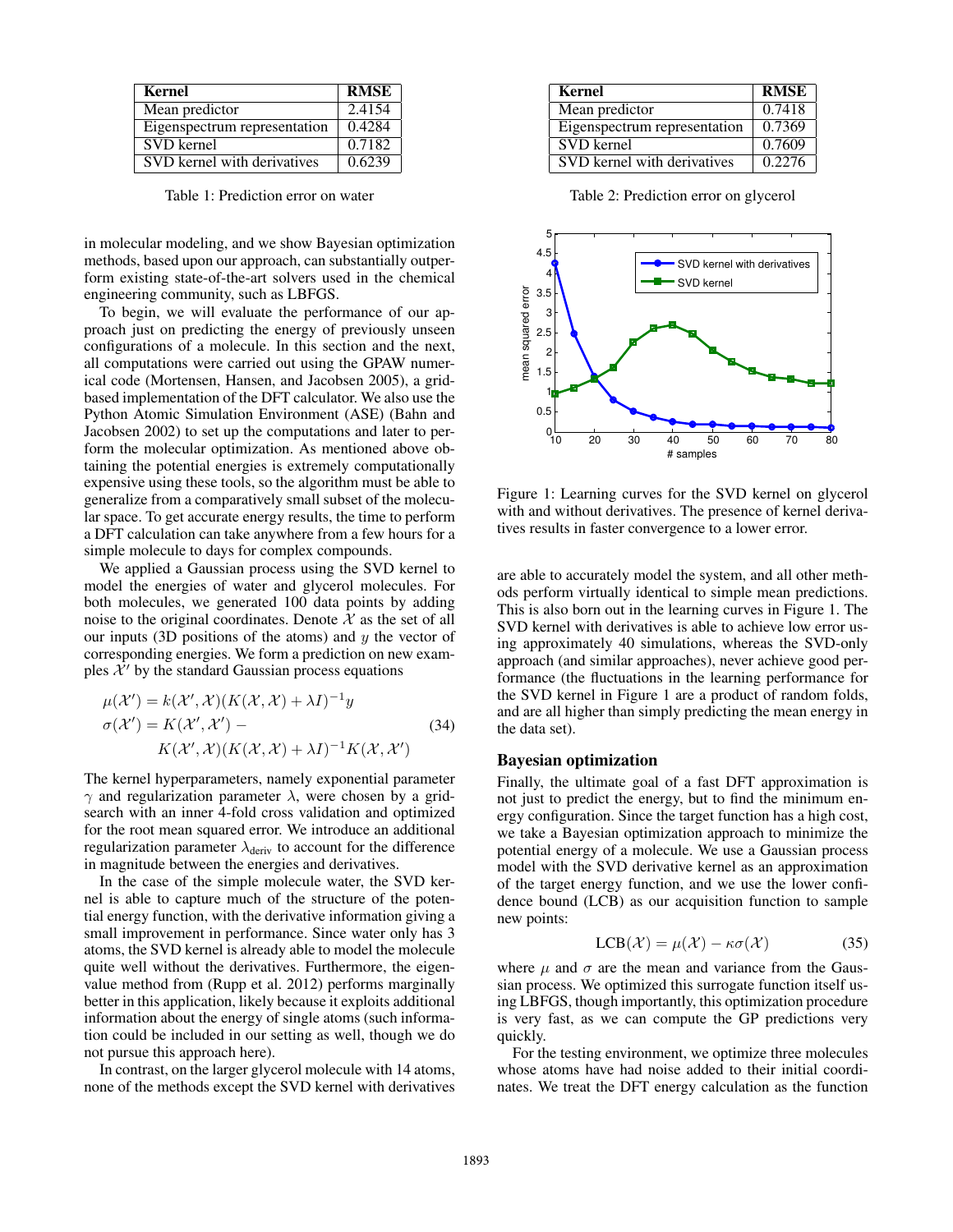| Kernel                       | <b>RMSE</b> |
|------------------------------|-------------|
| Mean predictor               | 2.4154      |
| Eigenspectrum representation | 0.4284      |
| SVD kernel                   | 0.7182      |
| SVD kernel with derivatives  | 0.6239      |

Table 1: Prediction error on water

in molecular modeling, and we show Bayesian optimization methods, based upon our approach, can substantially outperform existing state-of-the-art solvers used in the chemical engineering community, such as LBFGS.

To begin, we will evaluate the performance of our approach just on predicting the energy of previously unseen configurations of a molecule. In this section and the next, all computations were carried out using the GPAW numerical code (Mortensen, Hansen, and Jacobsen 2005), a gridbased implementation of the DFT calculator. We also use the Python Atomic Simulation Environment (ASE) (Bahn and Jacobsen 2002) to set up the computations and later to perform the molecular optimization. As mentioned above obtaining the potential energies is extremely computationally expensive using these tools, so the algorithm must be able to generalize from a comparatively small subset of the molecular space. To get accurate energy results, the time to perform a DFT calculation can take anywhere from a few hours for a simple molecule to days for complex compounds.

We applied a Gaussian process using the SVD kernel to model the energies of water and glycerol molecules. For both molecules, we generated 100 data points by adding noise to the original coordinates. Denote  $\mathcal X$  as the set of all our inputs (3D positions of the atoms) and  $y$  the vector of corresponding energies. We form a prediction on new examples  $\mathcal{X}'$  by the standard Gaussian process equations

$$
\mu(\mathcal{X}') = k(\mathcal{X}', \mathcal{X})(K(\mathcal{X}, \mathcal{X}) + \lambda I)^{-1}y
$$
  
\n
$$
\sigma(\mathcal{X}') = K(\mathcal{X}', \mathcal{X}') - K(\mathcal{X}', \mathcal{X})(K(\mathcal{X}, \mathcal{X}) + \lambda I)^{-1}K(\mathcal{X}, \mathcal{X}')
$$
\n(34)

The kernel hyperparameters, namely exponential parameter  $γ$  and regularization parameter  $λ$ , were chosen by a gridsearch with an inner 4-fold cross validation and optimized for the root mean squared error. We introduce an additional regularization parameter  $\lambda_{\text{deriv}}$  to account for the difference in magnitude between the energies and derivatives.

In the case of the simple molecule water, the SVD kernel is able to capture much of the structure of the potential energy function, with the derivative information giving a small improvement in performance. Since water only has 3 atoms, the SVD kernel is already able to model the molecule quite well without the derivatives. Furthermore, the eigenvalue method from (Rupp et al. 2012) performs marginally better in this application, likely because it exploits additional information about the energy of single atoms (such information could be included in our setting as well, though we do not pursue this approach here).

In contrast, on the larger glycerol molecule with 14 atoms, none of the methods except the SVD kernel with derivatives

| <b>Kernel</b>                | <b>RMSE</b> |
|------------------------------|-------------|
| Mean predictor               | 0.7418      |
| Eigenspectrum representation | 0.7369      |
| <b>SVD</b> kernel            | 0.7609      |
| SVD kernel with derivatives  | 0.2276      |

Table 2: Prediction error on glycerol



Figure 1: Learning curves for the SVD kernel on glycerol with and without derivatives. The presence of kernel derivatives results in faster convergence to a lower error.

are able to accurately model the system, and all other methods perform virtually identical to simple mean predictions. This is also born out in the learning curves in Figure 1. The SVD kernel with derivatives is able to achieve low error using approximately 40 simulations, whereas the SVD-only approach (and similar approaches), never achieve good performance (the fluctuations in the learning performance for the SVD kernel in Figure 1 are a product of random folds, and are all higher than simply predicting the mean energy in the data set).

## Bayesian optimization

Finally, the ultimate goal of a fast DFT approximation is not just to predict the energy, but to find the minimum energy configuration. Since the target function has a high cost, we take a Bayesian optimization approach to minimize the potential energy of a molecule. We use a Gaussian process model with the SVD derivative kernel as an approximation of the target energy function, and we use the lower confidence bound (LCB) as our acquisition function to sample new points:

$$
LCB(\mathcal{X}) = \mu(\mathcal{X}) - \kappa \sigma(\mathcal{X})
$$
 (35)

where  $\mu$  and  $\sigma$  are the mean and variance from the Gaussian process. We optimized this surrogate function itself using LBFGS, though importantly, this optimization procedure is very fast, as we can compute the GP predictions very quickly.

For the testing environment, we optimize three molecules whose atoms have had noise added to their initial coordinates. We treat the DFT energy calculation as the function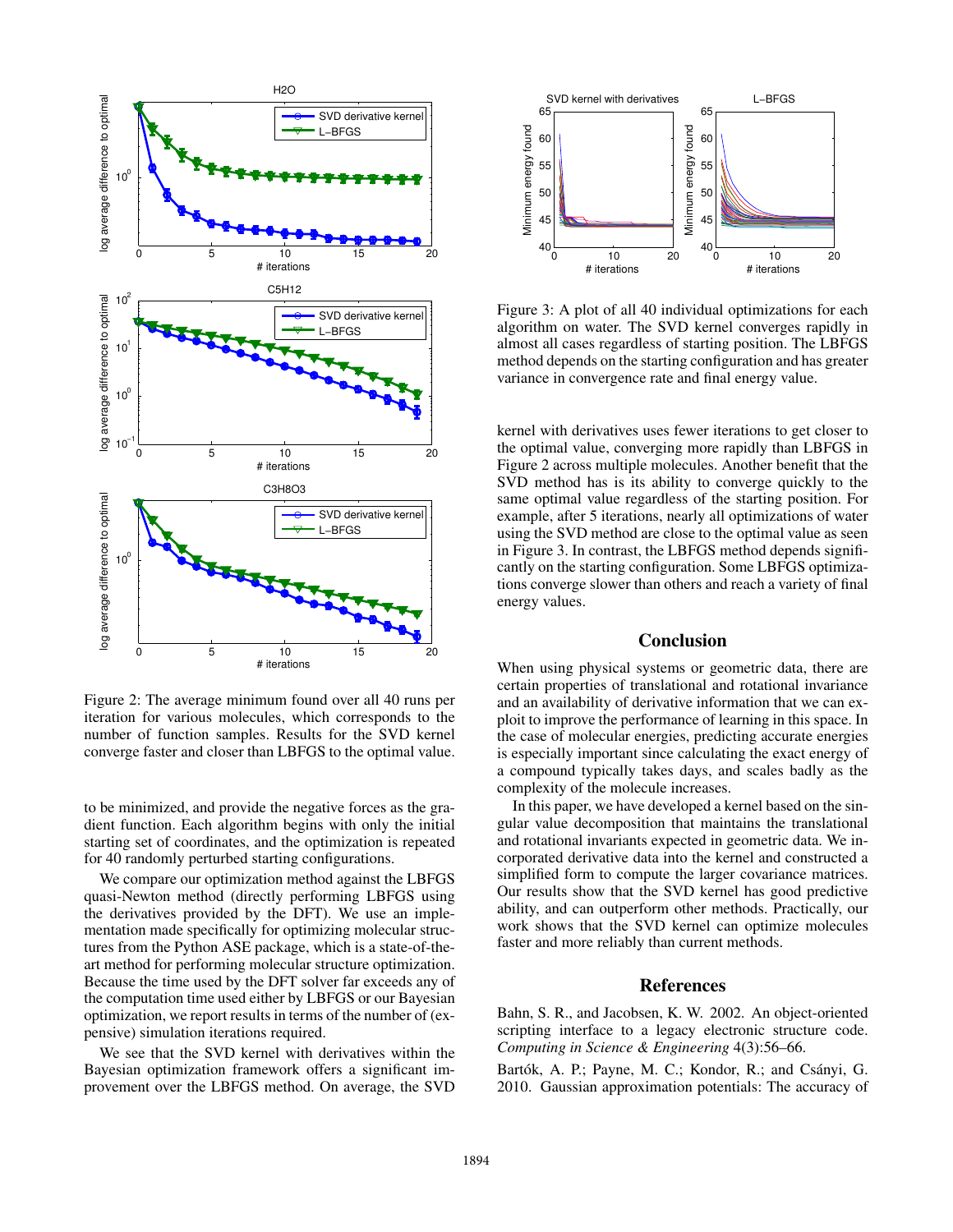

Figure 2: The average minimum found over all 40 runs per iteration for various molecules, which corresponds to the number of function samples. Results for the SVD kernel converge faster and closer than LBFGS to the optimal value.

to be minimized, and provide the negative forces as the gradient function. Each algorithm begins with only the initial starting set of coordinates, and the optimization is repeated for 40 randomly perturbed starting configurations.

We compare our optimization method against the LBFGS quasi-Newton method (directly performing LBFGS using the derivatives provided by the DFT). We use an implementation made specifically for optimizing molecular structures from the Python ASE package, which is a state-of-theart method for performing molecular structure optimization. Because the time used by the DFT solver far exceeds any of the computation time used either by LBFGS or our Bayesian optimization, we report results in terms of the number of (expensive) simulation iterations required.

We see that the SVD kernel with derivatives within the Bayesian optimization framework offers a significant improvement over the LBFGS method. On average, the SVD



Figure 3: A plot of all 40 individual optimizations for each algorithm on water. The SVD kernel converges rapidly in almost all cases regardless of starting position. The LBFGS method depends on the starting configuration and has greater variance in convergence rate and final energy value.

kernel with derivatives uses fewer iterations to get closer to the optimal value, converging more rapidly than LBFGS in Figure 2 across multiple molecules. Another benefit that the SVD method has is its ability to converge quickly to the same optimal value regardless of the starting position. For example, after 5 iterations, nearly all optimizations of water using the SVD method are close to the optimal value as seen in Figure 3. In contrast, the LBFGS method depends significantly on the starting configuration. Some LBFGS optimizations converge slower than others and reach a variety of final energy values.

# Conclusion

When using physical systems or geometric data, there are certain properties of translational and rotational invariance and an availability of derivative information that we can exploit to improve the performance of learning in this space. In the case of molecular energies, predicting accurate energies is especially important since calculating the exact energy of a compound typically takes days, and scales badly as the complexity of the molecule increases.

In this paper, we have developed a kernel based on the singular value decomposition that maintains the translational and rotational invariants expected in geometric data. We incorporated derivative data into the kernel and constructed a simplified form to compute the larger covariance matrices. Our results show that the SVD kernel has good predictive ability, and can outperform other methods. Practically, our work shows that the SVD kernel can optimize molecules faster and more reliably than current methods.

### References

Bahn, S. R., and Jacobsen, K. W. 2002. An object-oriented scripting interface to a legacy electronic structure code. *Computing in Science & Engineering* 4(3):56–66.

Bartók, A. P.; Payne, M. C.; Kondor, R.; and Csányi, G. 2010. Gaussian approximation potentials: The accuracy of